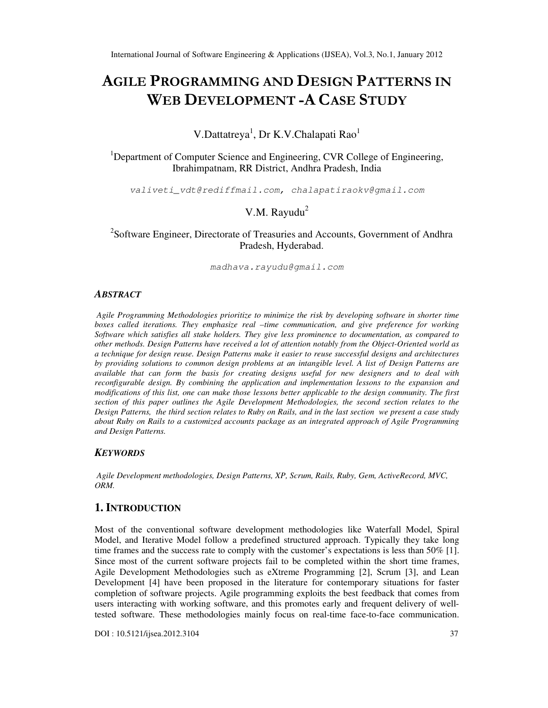# AGILE PROGRAMMING AND DESIGN PATTERNS IN WEB DEVELOPMENT -A CASE STUDY

## V.Dattatreya<sup>1</sup>, Dr K.V.Chalapati Rao<sup>1</sup>

<sup>1</sup>Department of Computer Science and Engineering, CVR College of Engineering, Ibrahimpatnam, RR District, Andhra Pradesh, India

valiveti\_vdt@rediffmail.com, chalapatiraokv@gmail.com

## V.M. Rayudu<sup>2</sup>

<sup>2</sup>Software Engineer, Directorate of Treasuries and Accounts, Government of Andhra Pradesh, Hyderabad.

madhava.rayudu@gmail.com

#### *ABSTRACT*

*Agile Programming Methodologies prioritize to minimize the risk by developing software in shorter time*  boxes called iterations. They emphasize real –time communication, and give preference for working *Software which satisfies all stake holders. They give less prominence to documentation, as compared to other methods. Design Patterns have received a lot of attention notably from the Object-Oriented world as a technique for design reuse. Design Patterns make it easier to reuse successful designs and architectures by providing solutions to common design problems at an intangible level. A list of Design Patterns are available that can form the basis for creating designs useful for new designers and to deal with reconfigurable design. By combining the application and implementation lessons to the expansion and modifications of this list, one can make those lessons better applicable to the design community. The first section of this paper outlines the Agile Development Methodologies, the second section relates to the Design Patterns, the third section relates to Ruby on Rails, and in the last section we present a case study about Ruby on Rails to a customized accounts package as an integrated approach of Agile Programming and Design Patterns.* 

#### *KEYWORDS*

 *Agile Development methodologies, Design Patterns, XP, Scrum, Rails, Ruby, Gem, ActiveRecord, MVC, ORM.* 

## **1. INTRODUCTION**

Most of the conventional software development methodologies like Waterfall Model, Spiral Model, and Iterative Model follow a predefined structured approach. Typically they take long time frames and the success rate to comply with the customer's expectations is less than 50% [1]. Since most of the current software projects fail to be completed within the short time frames, Agile Development Methodologies such as eXtreme Programming [2], Scrum [3], and Lean Development [4] have been proposed in the literature for contemporary situations for faster completion of software projects. Agile programming exploits the best feedback that comes from users interacting with working software, and this promotes early and frequent delivery of welltested software. These methodologies mainly focus on real-time face-to-face communication.

DOI : 10.5121/ijsea.2012.3104 37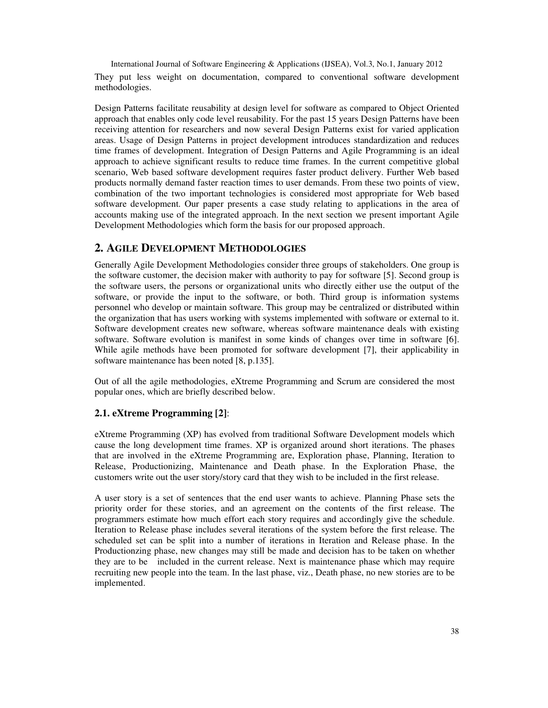International Journal of Software Engineering & Applications (IJSEA), Vol.3, No.1, January 2012 They put less weight on documentation, compared to conventional software development methodologies.

Design Patterns facilitate reusability at design level for software as compared to Object Oriented approach that enables only code level reusability. For the past 15 years Design Patterns have been receiving attention for researchers and now several Design Patterns exist for varied application areas. Usage of Design Patterns in project development introduces standardization and reduces time frames of development. Integration of Design Patterns and Agile Programming is an ideal approach to achieve significant results to reduce time frames. In the current competitive global scenario, Web based software development requires faster product delivery. Further Web based products normally demand faster reaction times to user demands. From these two points of view, combination of the two important technologies is considered most appropriate for Web based software development. Our paper presents a case study relating to applications in the area of accounts making use of the integrated approach. In the next section we present important Agile Development Methodologies which form the basis for our proposed approach.

## **2. AGILE DEVELOPMENT METHODOLOGIES**

Generally Agile Development Methodologies consider three groups of stakeholders. One group is the software customer, the decision maker with authority to pay for software [5]. Second group is the software users, the persons or organizational units who directly either use the output of the software, or provide the input to the software, or both. Third group is information systems personnel who develop or maintain software. This group may be centralized or distributed within the organization that has users working with systems implemented with software or external to it. Software development creates new software, whereas software maintenance deals with existing software. Software evolution is manifest in some kinds of changes over time in software [6]. While agile methods have been promoted for software development [7], their applicability in software maintenance has been noted [8, p.135].

Out of all the agile methodologies, eXtreme Programming and Scrum are considered the most popular ones, which are briefly described below.

## **2.1. eXtreme Programming [2]**:

eXtreme Programming (XP) has evolved from traditional Software Development models which cause the long development time frames. XP is organized around short iterations. The phases that are involved in the eXtreme Programming are, Exploration phase, Planning, Iteration to Release, Productionizing, Maintenance and Death phase. In the Exploration Phase, the customers write out the user story/story card that they wish to be included in the first release.

A user story is a set of sentences that the end user wants to achieve. Planning Phase sets the priority order for these stories, and an agreement on the contents of the first release. The programmers estimate how much effort each story requires and accordingly give the schedule. Iteration to Release phase includes several iterations of the system before the first release. The scheduled set can be split into a number of iterations in Iteration and Release phase. In the Productionzing phase, new changes may still be made and decision has to be taken on whether they are to be included in the current release. Next is maintenance phase which may require recruiting new people into the team. In the last phase, viz., Death phase, no new stories are to be implemented.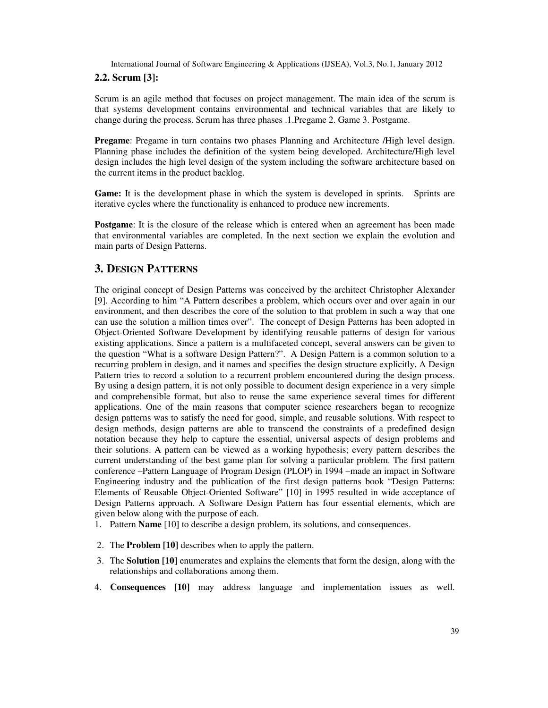## **2.2. Scrum [3]:**

Scrum is an agile method that focuses on project management. The main idea of the scrum is that systems development contains environmental and technical variables that are likely to change during the process. Scrum has three phases .1.Pregame 2. Game 3. Postgame.

**Pregame**: Pregame in turn contains two phases Planning and Architecture /High level design. Planning phase includes the definition of the system being developed. Architecture/High level design includes the high level design of the system including the software architecture based on the current items in the product backlog.

**Game:** It is the development phase in which the system is developed in sprints. Sprints are iterative cycles where the functionality is enhanced to produce new increments.

**Postgame**: It is the closure of the release which is entered when an agreement has been made that environmental variables are completed. In the next section we explain the evolution and main parts of Design Patterns.

## **3. DESIGN PATTERNS**

The original concept of Design Patterns was conceived by the architect Christopher Alexander [9]. According to him "A Pattern describes a problem, which occurs over and over again in our environment, and then describes the core of the solution to that problem in such a way that one can use the solution a million times over". The concept of Design Patterns has been adopted in Object-Oriented Software Development by identifying reusable patterns of design for various existing applications. Since a pattern is a multifaceted concept, several answers can be given to the question "What is a software Design Pattern?". A Design Pattern is a common solution to a recurring problem in design, and it names and specifies the design structure explicitly. A Design Pattern tries to record a solution to a recurrent problem encountered during the design process. By using a design pattern, it is not only possible to document design experience in a very simple and comprehensible format, but also to reuse the same experience several times for different applications. One of the main reasons that computer science researchers began to recognize design patterns was to satisfy the need for good, simple, and reusable solutions. With respect to design methods, design patterns are able to transcend the constraints of a predefined design notation because they help to capture the essential, universal aspects of design problems and their solutions. A pattern can be viewed as a working hypothesis; every pattern describes the current understanding of the best game plan for solving a particular problem. The first pattern conference –Pattern Language of Program Design (PLOP) in 1994 –made an impact in Software Engineering industry and the publication of the first design patterns book "Design Patterns: Elements of Reusable Object-Oriented Software" [10] in 1995 resulted in wide acceptance of Design Patterns approach. A Software Design Pattern has four essential elements, which are given below along with the purpose of each.

- 1. Pattern **Name** [10] to describe a design problem, its solutions, and consequences.
- 2. The **Problem [10]** describes when to apply the pattern.
- 3. The **Solution [10]** enumerates and explains the elements that form the design, along with the relationships and collaborations among them.
- 4. **Consequences [10]** may address language and implementation issues as well.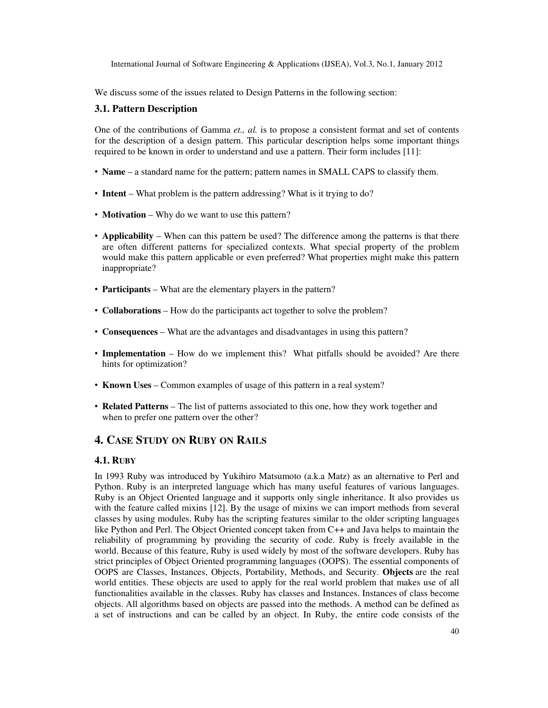We discuss some of the issues related to Design Patterns in the following section:

### **3.1. Pattern Description**

One of the contributions of Gamma *et., al.* is to propose a consistent format and set of contents for the description of a design pattern. This particular description helps some important things required to be known in order to understand and use a pattern. Their form includes [11]:

- **Name**  a standard name for the pattern; pattern names in SMALL CAPS to classify them.
- **Intent** What problem is the pattern addressing? What is it trying to do?
- **Motivation** Why do we want to use this pattern?
- **Applicability** When can this pattern be used? The difference among the patterns is that there are often different patterns for specialized contexts. What special property of the problem would make this pattern applicable or even preferred? What properties might make this pattern inappropriate?
- **Participants**  What are the elementary players in the pattern?
- **Collaborations** How do the participants act together to solve the problem?
- **Consequences**  What are the advantages and disadvantages in using this pattern?
- **Implementation**  How do we implement this? What pitfalls should be avoided? Are there hints for optimization?
- **Known Uses** Common examples of usage of this pattern in a real system?
- **Related Patterns**  The list of patterns associated to this one, how they work together and when to prefer one pattern over the other?

## **4. CASE STUDY ON RUBY ON RAILS**

#### **4.1. RUBY**

In 1993 Ruby was introduced by Yukihiro Matsumoto (a.k.a Matz) as an alternative to Perl and Python. Ruby is an interpreted language which has many useful features of various languages. Ruby is an Object Oriented language and it supports only single inheritance. It also provides us with the feature called mixins [12]. By the usage of mixins we can import methods from several classes by using modules. Ruby has the scripting features similar to the older scripting languages like Python and Perl. The Object Oriented concept taken from C++ and Java helps to maintain the reliability of programming by providing the security of code. Ruby is freely available in the world. Because of this feature, Ruby is used widely by most of the software developers. Ruby has strict principles of Object Oriented programming languages (OOPS). The essential components of OOPS are Classes, Instances, Objects, Portability, Methods, and Security. **Objects** are the real world entities. These objects are used to apply for the real world problem that makes use of all functionalities available in the classes. Ruby has classes and Instances. Instances of class become objects. All algorithms based on objects are passed into the methods. A method can be defined as a set of instructions and can be called by an object. In Ruby, the entire code consists of the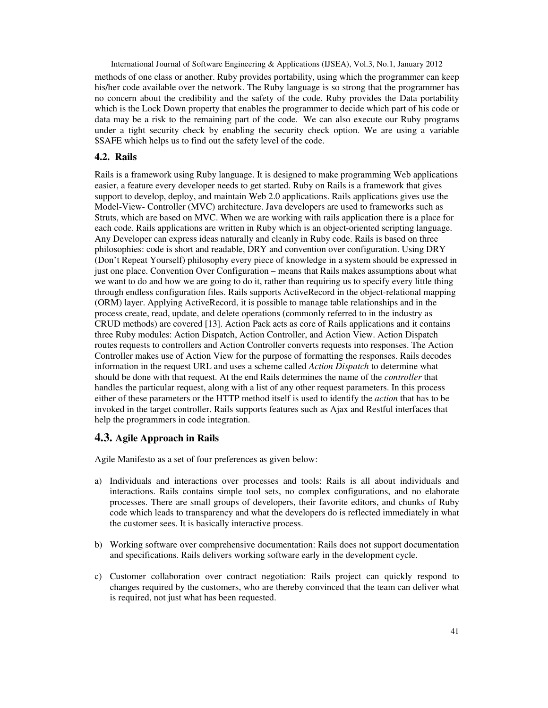International Journal of Software Engineering & Applications (IJSEA), Vol.3, No.1, January 2012 methods of one class or another. Ruby provides portability, using which the programmer can keep his/her code available over the network. The Ruby language is so strong that the programmer has no concern about the credibility and the safety of the code. Ruby provides the Data portability which is the Lock Down property that enables the programmer to decide which part of his code or data may be a risk to the remaining part of the code. We can also execute our Ruby programs under a tight security check by enabling the security check option. We are using a variable \$SAFE which helps us to find out the safety level of the code.

## **4.2. Rails**

Rails is a framework using Ruby language. It is designed to make programming Web applications easier, a feature every developer needs to get started. Ruby on Rails is a framework that gives support to develop, deploy, and maintain Web 2.0 applications. Rails applications gives use the Model-View- Controller (MVC) architecture. Java developers are used to frameworks such as Struts, which are based on MVC. When we are working with rails application there is a place for each code. Rails applications are written in Ruby which is an object-oriented scripting language. Any Developer can express ideas naturally and cleanly in Ruby code. Rails is based on three philosophies: code is short and readable, DRY and convention over configuration. Using DRY (Don't Repeat Yourself) philosophy every piece of knowledge in a system should be expressed in just one place. Convention Over Configuration – means that Rails makes assumptions about what we want to do and how we are going to do it, rather than requiring us to specify every little thing through endless configuration files. Rails supports ActiveRecord in the object-relational mapping (ORM) layer. Applying ActiveRecord, it is possible to manage table relationships and in the process create, read, update, and delete operations (commonly referred to in the industry as CRUD methods) are covered [13]. Action Pack acts as core of Rails applications and it contains three Ruby modules: Action Dispatch, Action Controller, and Action View. Action Dispatch routes requests to controllers and Action Controller converts requests into responses. The Action Controller makes use of Action View for the purpose of formatting the responses. Rails decodes information in the request URL and uses a scheme called *Action Dispatch* to determine what should be done with that request. At the end Rails determines the name of the *controller* that handles the particular request, along with a list of any other request parameters. In this process either of these parameters or the HTTP method itself is used to identify the *action* that has to be invoked in the target controller. Rails supports features such as Ajax and Restful interfaces that help the programmers in code integration.

## **4.3. Agile Approach in Rails**

Agile Manifesto as a set of four preferences as given below:

- a) Individuals and interactions over processes and tools: Rails is all about individuals and interactions. Rails contains simple tool sets, no complex configurations, and no elaborate processes. There are small groups of developers, their favorite editors, and chunks of Ruby code which leads to transparency and what the developers do is reflected immediately in what the customer sees. It is basically interactive process.
- b) Working software over comprehensive documentation: Rails does not support documentation and specifications. Rails delivers working software early in the development cycle.
- c) Customer collaboration over contract negotiation: Rails project can quickly respond to changes required by the customers, who are thereby convinced that the team can deliver what is required, not just what has been requested.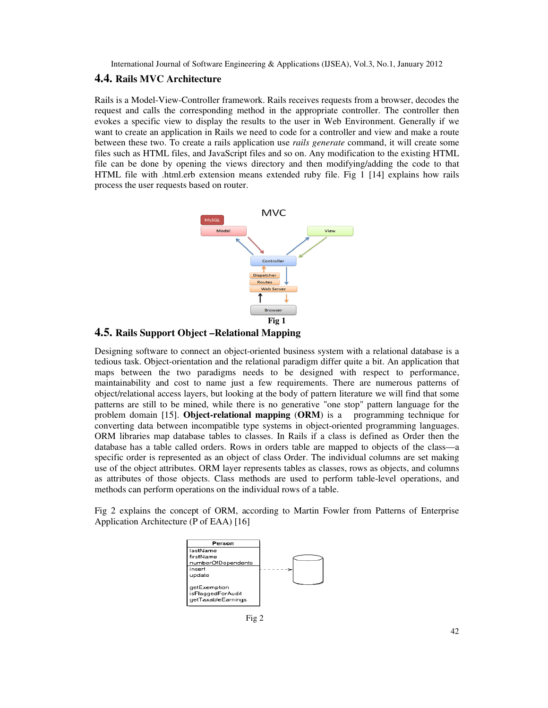### **4.4. Rails MVC Architecture**

Rails is a Model-View-Controller framework. Rails receives requests from a browser, decodes the request and calls the corresponding method in the appropriate controller. The controller then evokes a specific view to display the results to the user in Web Environment. Generally if we want to create an application in Rails we need to code for a controller and view and make a route between these two. To create a rails application use *rails generate* command, it will create some files such as HTML files, and JavaScript files and so on. Any modification to the existing HTML file can be done by opening the views directory and then modifying/adding the code to that HTML file with .html.erb extension means extended ruby file. Fig 1 [14] explains how rails process the user requests based on router.



#### **4.5. Rails Support Object –Relational Mapping**

Designing software to connect an object-oriented business system with a relational database is a tedious task. Object-orientation and the relational paradigm differ quite a bit. An application that maps between the two paradigms needs to be designed with respect to performance, maintainability and cost to name just a few requirements. There are numerous patterns of object/relational access layers, but looking at the body of pattern literature we will find that some patterns are still to be mined, while there is no generative "one stop" pattern language for the problem domain [15]. **Object-relational mapping** (**ORM**) is a programming technique for converting data between incompatible type systems in object-oriented programming languages. ORM libraries map database tables to classes. In Rails if a class is defined as Order then the database has a table called orders. Rows in orders table are mapped to objects of the class—a specific order is represented as an object of class Order. The individual columns are set making use of the object attributes. ORM layer represents tables as classes, rows as objects, and columns as attributes of those objects. Class methods are used to perform table-level operations, and methods can perform operations on the individual rows of a table.

Fig 2 explains the concept of ORM, according to Martin Fowler from Patterns of Enterprise Application Architecture (P of EAA) [16]



Fig 2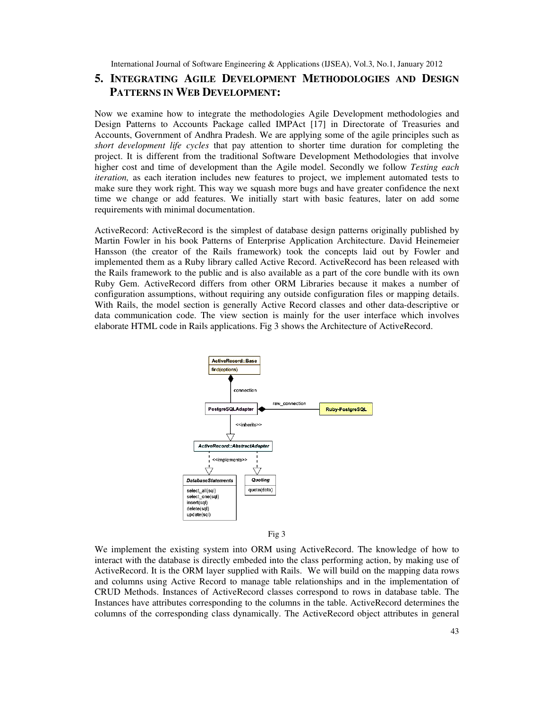## **5. INTEGRATING AGILE DEVELOPMENT METHODOLOGIES AND DESIGN PATTERNS IN WEB DEVELOPMENT:**

Now we examine how to integrate the methodologies Agile Development methodologies and Design Patterns to Accounts Package called IMPAct [17] in Directorate of Treasuries and Accounts, Government of Andhra Pradesh. We are applying some of the agile principles such as *short development life cycles* that pay attention to shorter time duration for completing the project. It is different from the traditional Software Development Methodologies that involve higher cost and time of development than the Agile model. Secondly we follow *Testing each iteration,* as each iteration includes new features to project, we implement automated tests to make sure they work right. This way we squash more bugs and have greater confidence the next time we change or add features. We initially start with basic features, later on add some requirements with minimal documentation.

ActiveRecord: ActiveRecord is the simplest of database design patterns originally published by Martin Fowler in his book Patterns of Enterprise Application Architecture. David Heinemeier Hansson (the creator of the Rails framework) took the concepts laid out by Fowler and implemented them as a Ruby library called Active Record. ActiveRecord has been released with the Rails framework to the public and is also available as a part of the core bundle with its own Ruby Gem. ActiveRecord differs from other ORM Libraries because it makes a number of configuration assumptions, without requiring any outside configuration files or mapping details. With Rails, the model section is generally Active Record classes and other data-descriptive or data communication code. The view section is mainly for the user interface which involves elaborate HTML code in Rails applications. Fig 3 shows the Architecture of ActiveRecord.



Fig 3

We implement the existing system into ORM using ActiveRecord. The knowledge of how to interact with the database is directly embeded into the class performing action, by making use of ActiveRecord. It is the ORM layer supplied with Rails. We will build on the mapping data rows and columns using Active Record to manage table relationships and in the implementation of CRUD Methods. Instances of ActiveRecord classes correspond to rows in database table. The Instances have attributes corresponding to the columns in the table. ActiveRecord determines the columns of the corresponding class dynamically. The ActiveRecord object attributes in general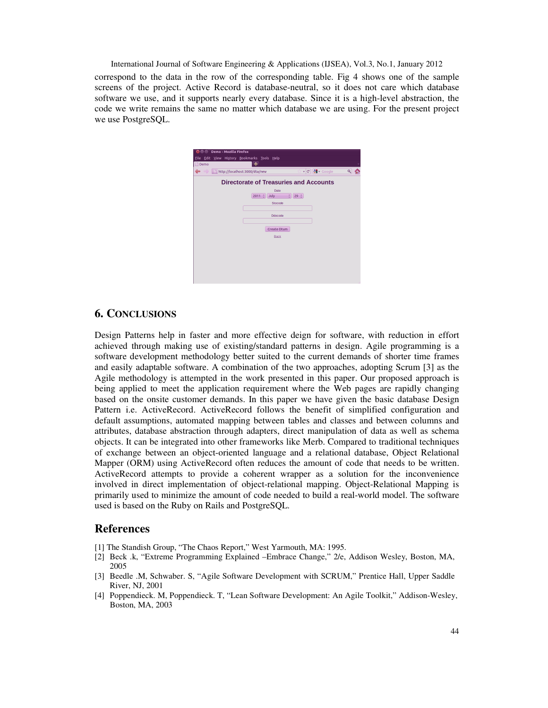International Journal of Software Engineering & Applications (IJSEA), Vol.3, No.1, January 2012 correspond to the data in the row of the corresponding table. Fig 4 shows one of the sample screens of the project. Active Record is database-neutral, so it does not care which database software we use, and it supports nearly every database. Since it is a high-level abstraction, the code we write remains the same no matter which database we are using. For the present project we use PostgreSQL.

| Demo - Mozilla Firefox                      |                                               |                                |                                                 |          |
|---------------------------------------------|-----------------------------------------------|--------------------------------|-------------------------------------------------|----------|
| File Edit View History Bookmarks Tools Help |                                               |                                |                                                 |          |
| Demo                                        |                                               |                                |                                                 |          |
| http://localhost:3000/dta/new               |                                               |                                | $\mathbf{v}$ e $\mathbf{S}$ $\mathbf{V}$ Google | $\alpha$ |
|                                             | <b>Directorate of Treasuries and Accounts</b> |                                |                                                 |          |
|                                             | Date                                          |                                |                                                 |          |
|                                             | July<br>$2011$ $\hat{ }$                      | $\frac{1}{2}$ 29 $\frac{1}{2}$ |                                                 |          |
|                                             | Stocode                                       |                                |                                                 |          |
|                                             |                                               |                                |                                                 |          |
|                                             | Ddocode                                       |                                |                                                 |          |
|                                             |                                               |                                |                                                 |          |
|                                             |                                               |                                |                                                 |          |
|                                             | Create Dtum                                   |                                |                                                 |          |
|                                             | <b>Back</b>                                   |                                |                                                 |          |
|                                             |                                               |                                |                                                 |          |
|                                             |                                               |                                |                                                 |          |
|                                             |                                               |                                |                                                 |          |
|                                             |                                               |                                |                                                 |          |
|                                             |                                               |                                |                                                 |          |
|                                             |                                               |                                |                                                 |          |
|                                             |                                               |                                |                                                 |          |
|                                             |                                               |                                |                                                 |          |

## **6. CONCLUSIONS**

Design Patterns help in faster and more effective deign for software, with reduction in effort achieved through making use of existing/standard patterns in design. Agile programming is a software development methodology better suited to the current demands of shorter time frames and easily adaptable software. A combination of the two approaches, adopting Scrum [3] as the Agile methodology is attempted in the work presented in this paper. Our proposed approach is being applied to meet the application requirement where the Web pages are rapidly changing based on the onsite customer demands. In this paper we have given the basic database Design Pattern i.e. ActiveRecord. ActiveRecord follows the benefit of simplified configuration and default assumptions, automated mapping between tables and classes and between columns and attributes, database abstraction through adapters, direct manipulation of data as well as schema objects. It can be integrated into other frameworks like Merb. Compared to traditional techniques of exchange between an object-oriented language and a relational database, Object Relational Mapper (ORM) using ActiveRecord often reduces the amount of code that needs to be written. ActiveRecord attempts to provide a coherent wrapper as a solution for the inconvenience involved in direct implementation of object-relational mapping. Object-Relational Mapping is primarily used to minimize the amount of code needed to build a real-world model. The software used is based on the Ruby on Rails and PostgreSQL.

## **References**

- [1] The Standish Group, "The Chaos Report," West Yarmouth, MA: 1995.
- [2] Beck .k, "Extreme Programming Explained –Embrace Change," 2/e, Addison Wesley, Boston, MA, 2005
- [3] Beedle .M, Schwaber. S, "Agile Software Development with SCRUM," Prentice Hall, Upper Saddle River, NJ, 2001
- [4] Poppendieck. M, Poppendieck. T, "Lean Software Development: An Agile Toolkit," Addison-Wesley, Boston, MA, 2003